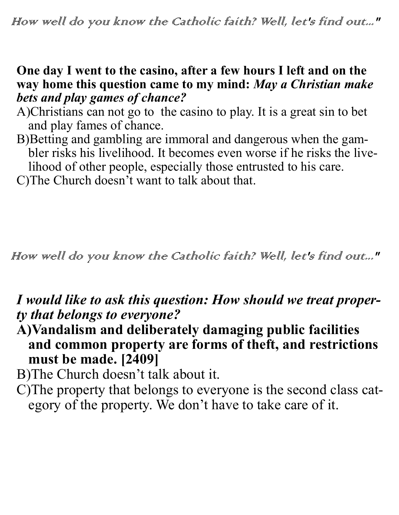#### **One day I went to the casino, after a few hours I left and on the way home this question came to my mind:** *May a Christian make bets and play games of chance?*

- A)Christians can not go to the casino to play. It is a great sin to bet and play fames of chance.
- B)Betting and gambling are immoral and dangerous when the gambler risks his livelihood. It becomes even worse if he risks the livelihood of other people, especially those entrusted to his care. C)The Church doesn't want to talk about that.

How well do you know the Catholic faith? Well, let's find out..."

## *I would like to ask this question: How should we treat property that belongs to everyone?*

**A)Vandalism and deliberately damaging public facilities and common property are forms of theft, and restrictions must be made. [2409]** 

B)The Church doesn't talk about it.

C)The property that belongs to everyone is the second class category of the property. We don't have to take care of it.